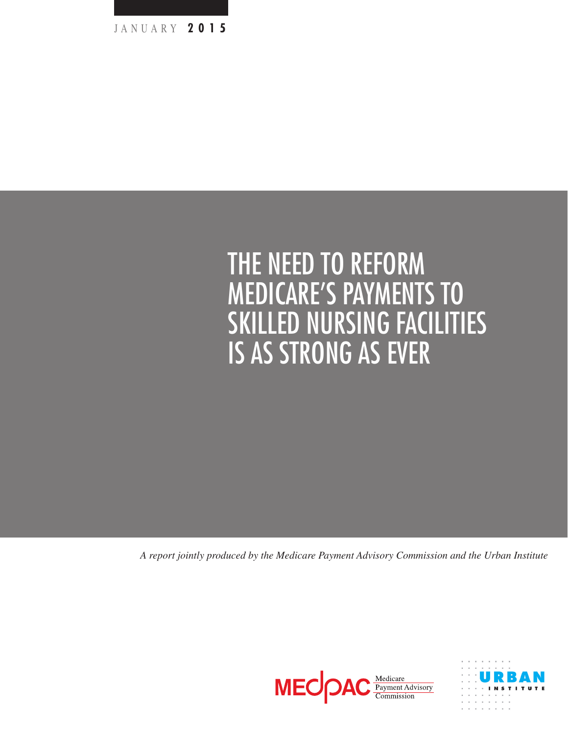

# The need to reform Medicare's payments to skilled nursing facilities is as Strong as Ever

*A report jointly produced by the Medicare Payment Advisory Commission and the Urban Institute*



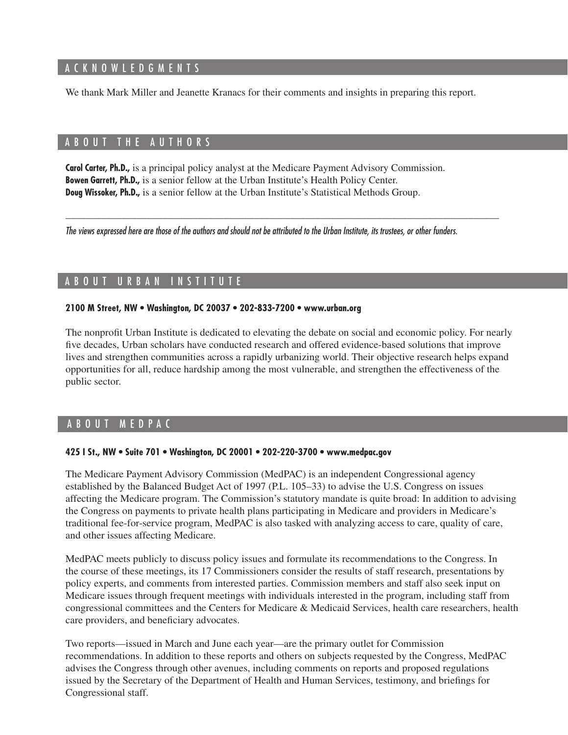#### A C K N O W L E D G M E N T S

We thank Mark Miller and Jeanette Kranacs for their comments and insights in preparing this report.

### A B O U T THE AUTHORS

**Carol Carter, Ph.D.,** is a principal policy analyst at the Medicare Payment Advisory Commission. **Bowen Garrett, Ph.D.,** is a senior fellow at the Urban Institute's Health Policy Center. **Doug Wissoker, Ph.D.,** is a senior fellow at the Urban Institute's Statistical Methods Group.

*The views expressed here are those of the authors and should not be attributed to the Urban Institute, its trustees, or other funders.*

\_\_\_\_\_\_\_\_\_\_\_\_\_\_\_\_\_\_\_\_\_\_\_\_\_\_\_\_\_\_\_\_\_\_\_\_\_\_\_\_\_\_\_\_\_\_\_\_\_\_\_\_\_\_\_\_\_\_\_\_\_\_\_\_\_\_\_\_\_\_\_\_\_\_\_\_\_\_\_\_\_\_\_\_\_

## A BOUT URBAN INSTITUTE

#### **2100 M Street, NW • Washington, DC 20037 • 202-833-7200 • www.urban.org**

The nonprofit Urban Institute is dedicated to elevating the debate on social and economic policy. For nearly five decades, Urban scholars have conducted research and offered evidence-based solutions that improve lives and strengthen communities across a rapidly urbanizing world. Their objective research helps expand opportunities for all, reduce hardship among the most vulnerable, and strengthen the effectiveness of the public sector.

#### A bou t M e d PAC

#### **425 I St., NW • Suite 701 • Washington, DC 20001 • 202-220-3700 • www.medpac.gov**

The Medicare Payment Advisory Commission (MedPAC) is an independent Congressional agency established by the Balanced Budget Act of 1997 (P.L. 105–33) to advise the U.S. Congress on issues affecting the Medicare program. The Commission's statutory mandate is quite broad: In addition to advising the Congress on payments to private health plans participating in Medicare and providers in Medicare's traditional fee-for-service program, MedPAC is also tasked with analyzing access to care, quality of care, and other issues affecting Medicare.

MedPAC meets publicly to discuss policy issues and formulate its recommendations to the Congress. In the course of these meetings, its 17 Commissioners consider the results of staff research, presentations by policy experts, and comments from interested parties. Commission members and staff also seek input on Medicare issues through frequent meetings with individuals interested in the program, including staff from congressional committees and the Centers for Medicare & Medicaid Services, health care researchers, health care providers, and beneficiary advocates.

Two reports—issued in March and June each year—are the primary outlet for Commission recommendations. In addition to these reports and others on subjects requested by the Congress, MedPAC advises the Congress through other avenues, including comments on reports and proposed regulations issued by the Secretary of the Department of Health and Human Services, testimony, and briefings for Congressional staff.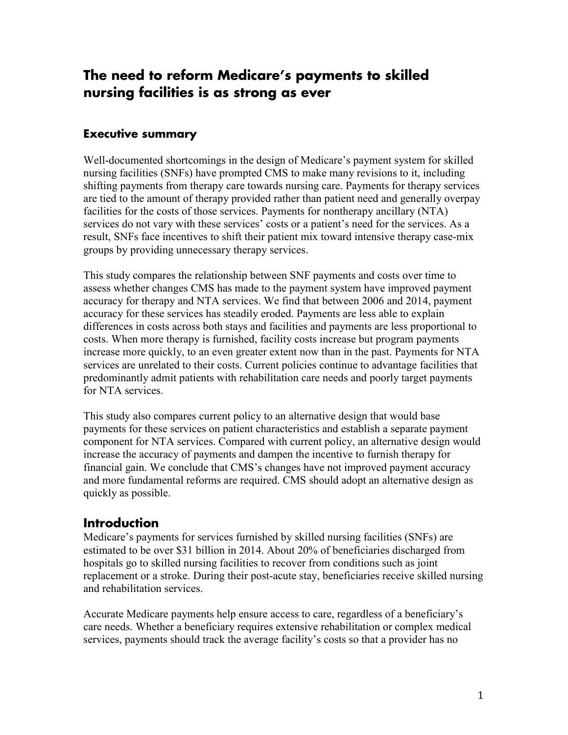# **The need to reform Medicare's payments to skilled nursing facilities is as strong as ever**

## **Executive summary**

Well-documented shortcomings in the design of Medicare's payment system for skilled nursing facilities (SNFs) have prompted CMS to make many revisions to it, including shifting payments from therapy care towards nursing care. Payments for therapy services are tied to the amount of therapy provided rather than patient need and generally overpay facilities for the costs of those services. Payments for nontherapy ancillary (NTA) services do not vary with these services' costs or a patient's need for the services. As a result, SNFs face incentives to shift their patient mix toward intensive therapy case-mix groups by providing unnecessary therapy services.

This study compares the relationship between SNF payments and costs over time to assess whether changes CMS has made to the payment system have improved payment accuracy for therapy and NTA services. We find that between 2006 and 2014, payment accuracy for these services has steadily eroded. Payments are less able to explain differences in costs across both stays and facilities and payments are less proportional to costs. When more therapy is furnished, facility costs increase but program payments increase more quickly, to an even greater extent now than in the past. Payments for NTA services are unrelated to their costs. Current policies continue to advantage facilities that predominantly admit patients with rehabilitation care needs and poorly target payments for NTA services.

This study also compares current policy to an alternative design that would base payments for these services on patient characteristics and establish a separate payment component for NTA services. Compared with current policy, an alternative design would increase the accuracy of payments and dampen the incentive to furnish therapy for financial gain. We conclude that CMS's changes have not improved payment accuracy and more fundamental reforms are required. CMS should adopt an alternative design as quickly as possible.

## **Introduction**

Medicare's payments for services furnished by skilled nursing facilities (SNFs) are estimated to be over \$31 billion in 2014. About 20% of beneficiaries discharged from hospitals go to skilled nursing facilities to recover from conditions such as joint replacement or a stroke. During their post-acute stay, beneficiaries receive skilled nursing and rehabilitation services.

Accurate Medicare payments help ensure access to care, regardless of a beneficiary's care needs. Whether a beneficiary requires extensive rehabilitation or complex medical services, payments should track the average facility's costs so that a provider has no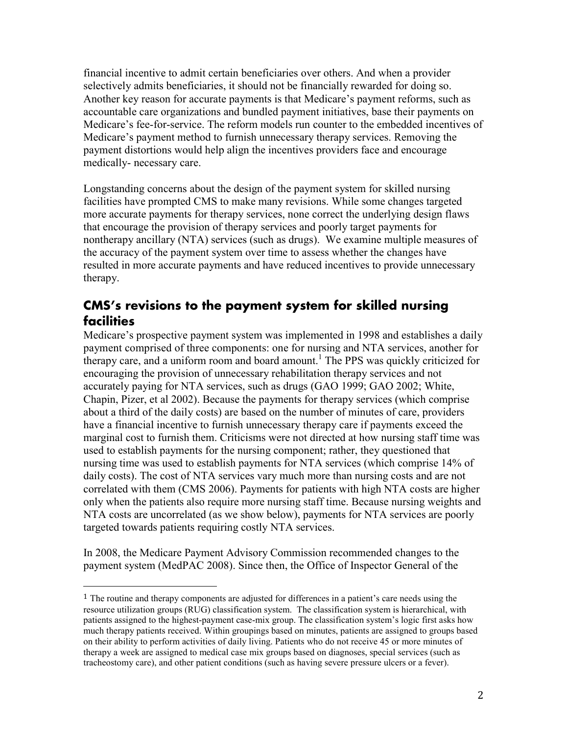financial incentive to admit certain beneficiaries over others. And when a provider selectively admits beneficiaries, it should not be financially rewarded for doing so. Another key reason for accurate payments is that Medicare's payment reforms, such as accountable care organizations and bundled payment initiatives, base their payments on Medicare's fee-for-service. The reform models run counter to the embedded incentives of Medicare's payment method to furnish unnecessary therapy services. Removing the payment distortions would help align the incentives providers face and encourage medically- necessary care.

Longstanding concerns about the design of the payment system for skilled nursing facilities have prompted CMS to make many revisions. While some changes targeted more accurate payments for therapy services, none correct the underlying design flaws that encourage the provision of therapy services and poorly target payments for nontherapy ancillary (NTA) services (such as drugs). We examine multiple measures of the accuracy of the payment system over time to assess whether the changes have resulted in more accurate payments and have reduced incentives to provide unnecessary therapy.

# **CMS's revisions to the payment system for skilled nursing facilities**

Medicare's prospective payment system was implemented in 1998 and establishes a daily payment comprised of three components: one for nursing and NTA services, another for therapy care, and a uniform room and board amount.<sup>1</sup> The PPS was quickly criticized for encouraging the provision of unnecessary rehabilitation therapy services and not accurately paying for NTA services, such as drugs (GAO 1999; GAO 2002; White, Chapin, Pizer, et al 2002). Because the payments for therapy services (which comprise about a third of the daily costs) are based on the number of minutes of care, providers have a financial incentive to furnish unnecessary therapy care if payments exceed the marginal cost to furnish them. Criticisms were not directed at how nursing staff time was used to establish payments for the nursing component; rather, they questioned that nursing time was used to establish payments for NTA services (which comprise 14% of daily costs). The cost of NTA services vary much more than nursing costs and are not correlated with them (CMS 2006). Payments for patients with high NTA costs are higher only when the patients also require more nursing staff time. Because nursing weights and NTA costs are uncorrelated (as we show below), payments for NTA services are poorly targeted towards patients requiring costly NTA services.

In 2008, the Medicare Payment Advisory Commission recommended changes to the payment system (MedPAC 2008). Since then, the Office of Inspector General of the

 $\overline{a}$ 

<sup>1</sup> The routine and therapy components are adjusted for differences in a patient's care needs using the resource utilization groups (RUG) classification system. The classification system is hierarchical, with patients assigned to the highest-payment case-mix group. The classification system's logic first asks how much therapy patients received. Within groupings based on minutes, patients are assigned to groups based on their ability to perform activities of daily living. Patients who do not receive 45 or more minutes of therapy a week are assigned to medical case mix groups based on diagnoses, special services (such as tracheostomy care), and other patient conditions (such as having severe pressure ulcers or a fever).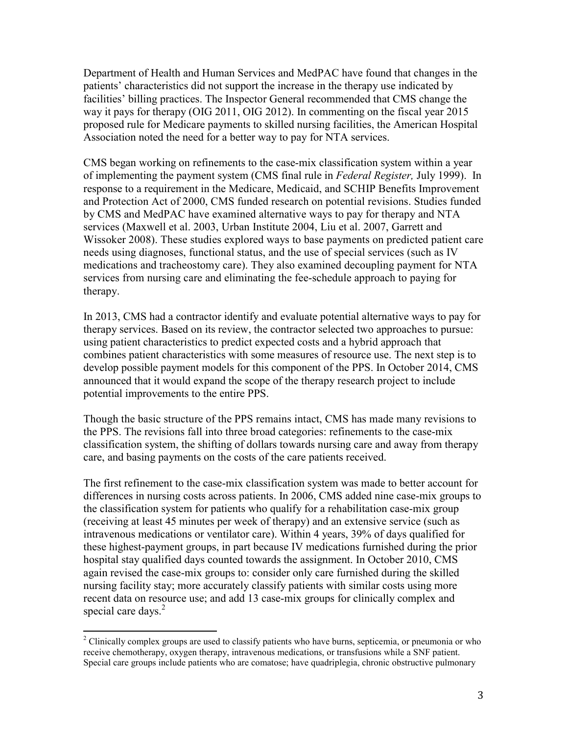Department of Health and Human Services and MedPAC have found that changes in the patients' characteristics did not support the increase in the therapy use indicated by facilities' billing practices. The Inspector General recommended that CMS change the way it pays for therapy (OIG 2011, OIG 2012). In commenting on the fiscal year 2015 proposed rule for Medicare payments to skilled nursing facilities, the American Hospital Association noted the need for a better way to pay for NTA services.

CMS began working on refinements to the case-mix classification system within a year of implementing the payment system (CMS final rule in *Federal Register,* July 1999). In response to a requirement in the Medicare, Medicaid, and SCHIP Benefits Improvement and Protection Act of 2000, CMS funded research on potential revisions. Studies funded by CMS and MedPAC have examined alternative ways to pay for therapy and NTA services (Maxwell et al. 2003, Urban Institute 2004, Liu et al. 2007, Garrett and Wissoker 2008). These studies explored ways to base payments on predicted patient care needs using diagnoses, functional status, and the use of special services (such as IV medications and tracheostomy care). They also examined decoupling payment for NTA services from nursing care and eliminating the fee-schedule approach to paying for therapy.

In 2013, CMS had a contractor identify and evaluate potential alternative ways to pay for therapy services. Based on its review, the contractor selected two approaches to pursue: using patient characteristics to predict expected costs and a hybrid approach that combines patient characteristics with some measures of resource use. The next step is to develop possible payment models for this component of the PPS. In October 2014, CMS announced that it would expand the scope of the therapy research project to include potential improvements to the entire PPS.

Though the basic structure of the PPS remains intact, CMS has made many revisions to the PPS. The revisions fall into three broad categories: refinements to the case-mix classification system, the shifting of dollars towards nursing care and away from therapy care, and basing payments on the costs of the care patients received.

The first refinement to the case-mix classification system was made to better account for differences in nursing costs across patients. In 2006, CMS added nine case-mix groups to the classification system for patients who qualify for a rehabilitation case-mix group (receiving at least 45 minutes per week of therapy) and an extensive service (such as intravenous medications or ventilator care). Within 4 years, 39% of days qualified for these highest-payment groups, in part because IV medications furnished during the prior hospital stay qualified days counted towards the assignment. In October 2010, CMS again revised the case-mix groups to: consider only care furnished during the skilled nursing facility stay; more accurately classify patients with similar costs using more recent data on resource use; and add 13 case-mix groups for clinically complex and special care days. $2$ 

l

<sup>&</sup>lt;sup>2</sup> Clinically complex groups are used to classify patients who have burns, septicemia, or pneumonia or who receive chemotherapy, oxygen therapy, intravenous medications, or transfusions while a SNF patient. Special care groups include patients who are comatose; have quadriplegia, chronic obstructive pulmonary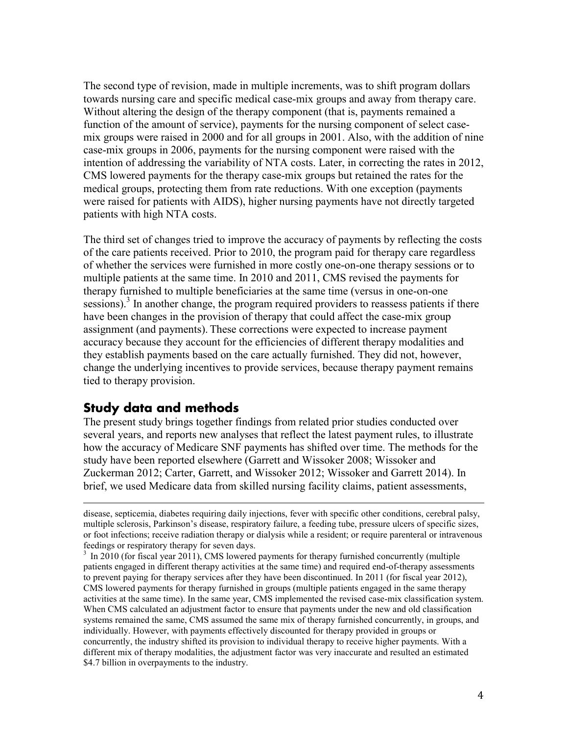The second type of revision, made in multiple increments, was to shift program dollars towards nursing care and specific medical case-mix groups and away from therapy care. Without altering the design of the therapy component (that is, payments remained a function of the amount of service), payments for the nursing component of select casemix groups were raised in 2000 and for all groups in 2001. Also, with the addition of nine case-mix groups in 2006, payments for the nursing component were raised with the intention of addressing the variability of NTA costs. Later, in correcting the rates in 2012, CMS lowered payments for the therapy case-mix groups but retained the rates for the medical groups, protecting them from rate reductions. With one exception (payments were raised for patients with AIDS), higher nursing payments have not directly targeted patients with high NTA costs.

The third set of changes tried to improve the accuracy of payments by reflecting the costs of the care patients received. Prior to 2010, the program paid for therapy care regardless of whether the services were furnished in more costly one-on-one therapy sessions or to multiple patients at the same time. In 2010 and 2011, CMS revised the payments for therapy furnished to multiple beneficiaries at the same time (versus in one-on-one sessions).<sup>3</sup> In another change, the program required providers to reassess patients if there have been changes in the provision of therapy that could affect the case-mix group assignment (and payments). These corrections were expected to increase payment accuracy because they account for the efficiencies of different therapy modalities and they establish payments based on the care actually furnished. They did not, however, change the underlying incentives to provide services, because therapy payment remains tied to therapy provision.

# **Study data and methods**

l

The present study brings together findings from related prior studies conducted over several years, and reports new analyses that reflect the latest payment rules, to illustrate how the accuracy of Medicare SNF payments has shifted over time. The methods for the study have been reported elsewhere (Garrett and Wissoker 2008; Wissoker and Zuckerman 2012; Carter, Garrett, and Wissoker 2012; Wissoker and Garrett 2014). In brief, we used Medicare data from skilled nursing facility claims, patient assessments,

disease, septicemia, diabetes requiring daily injections, fever with specific other conditions, cerebral palsy, multiple sclerosis, Parkinson's disease, respiratory failure, a feeding tube, pressure ulcers of specific sizes, or foot infections; receive radiation therapy or dialysis while a resident; or require parenteral or intravenous feedings or respiratory therapy for seven days.

<sup>&</sup>lt;sup>3</sup> In 2010 (for fiscal year 2011), CMS lowered payments for therapy furnished concurrently (multiple patients engaged in different therapy activities at the same time) and required end-of-therapy assessments to prevent paying for therapy services after they have been discontinued. In 2011 (for fiscal year 2012), CMS lowered payments for therapy furnished in groups (multiple patients engaged in the same therapy activities at the same time). In the same year, CMS implemented the revised case-mix classification system. When CMS calculated an adjustment factor to ensure that payments under the new and old classification systems remained the same, CMS assumed the same mix of therapy furnished concurrently, in groups, and individually. However, with payments effectively discounted for therapy provided in groups or concurrently, the industry shifted its provision to individual therapy to receive higher payments. With a different mix of therapy modalities, the adjustment factor was very inaccurate and resulted an estimated \$4.7 billion in overpayments to the industry.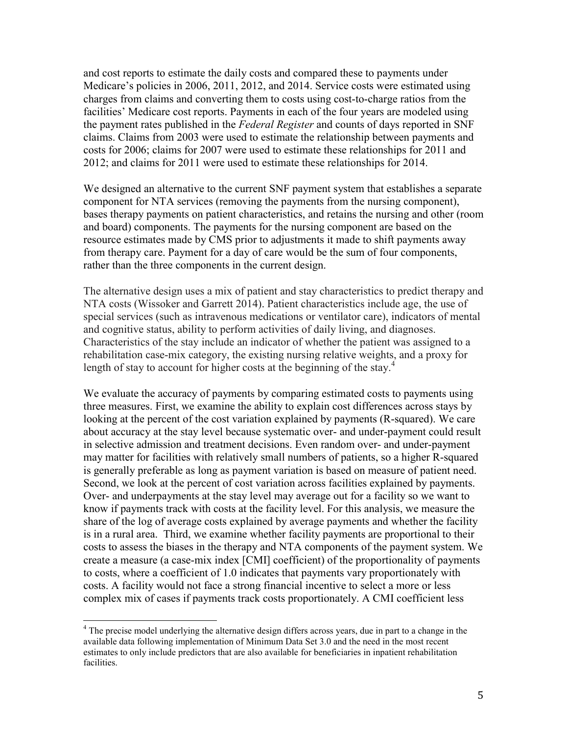and cost reports to estimate the daily costs and compared these to payments under Medicare's policies in 2006, 2011, 2012, and 2014. Service costs were estimated using charges from claims and converting them to costs using cost-to-charge ratios from the facilities' Medicare cost reports. Payments in each of the four years are modeled using the payment rates published in the *Federal Register* and counts of days reported in SNF claims. Claims from 2003 were used to estimate the relationship between payments and costs for 2006; claims for 2007 were used to estimate these relationships for 2011 and 2012; and claims for 2011 were used to estimate these relationships for 2014.

We designed an alternative to the current SNF payment system that establishes a separate component for NTA services (removing the payments from the nursing component), bases therapy payments on patient characteristics, and retains the nursing and other (room and board) components. The payments for the nursing component are based on the resource estimates made by CMS prior to adjustments it made to shift payments away from therapy care. Payment for a day of care would be the sum of four components, rather than the three components in the current design.

The alternative design uses a mix of patient and stay characteristics to predict therapy and NTA costs (Wissoker and Garrett 2014). Patient characteristics include age, the use of special services (such as intravenous medications or ventilator care), indicators of mental and cognitive status, ability to perform activities of daily living, and diagnoses. Characteristics of the stay include an indicator of whether the patient was assigned to a rehabilitation case-mix category, the existing nursing relative weights, and a proxy for length of stay to account for higher costs at the beginning of the stay.<sup>4</sup>

We evaluate the accuracy of payments by comparing estimated costs to payments using three measures. First, we examine the ability to explain cost differences across stays by looking at the percent of the cost variation explained by payments (R-squared). We care about accuracy at the stay level because systematic over- and under-payment could result in selective admission and treatment decisions. Even random over- and under-payment may matter for facilities with relatively small numbers of patients, so a higher R-squared is generally preferable as long as payment variation is based on measure of patient need. Second, we look at the percent of cost variation across facilities explained by payments. Over- and underpayments at the stay level may average out for a facility so we want to know if payments track with costs at the facility level. For this analysis, we measure the share of the log of average costs explained by average payments and whether the facility is in a rural area. Third, we examine whether facility payments are proportional to their costs to assess the biases in the therapy and NTA components of the payment system. We create a measure (a case-mix index [CMI] coefficient) of the proportionality of payments to costs, where a coefficient of 1.0 indicates that payments vary proportionately with costs. A facility would not face a strong financial incentive to select a more or less complex mix of cases if payments track costs proportionately. A CMI coefficient less

1

<sup>&</sup>lt;sup>4</sup> The precise model underlying the alternative design differs across years, due in part to a change in the available data following implementation of Minimum Data Set 3.0 and the need in the most recent estimates to only include predictors that are also available for beneficiaries in inpatient rehabilitation facilities.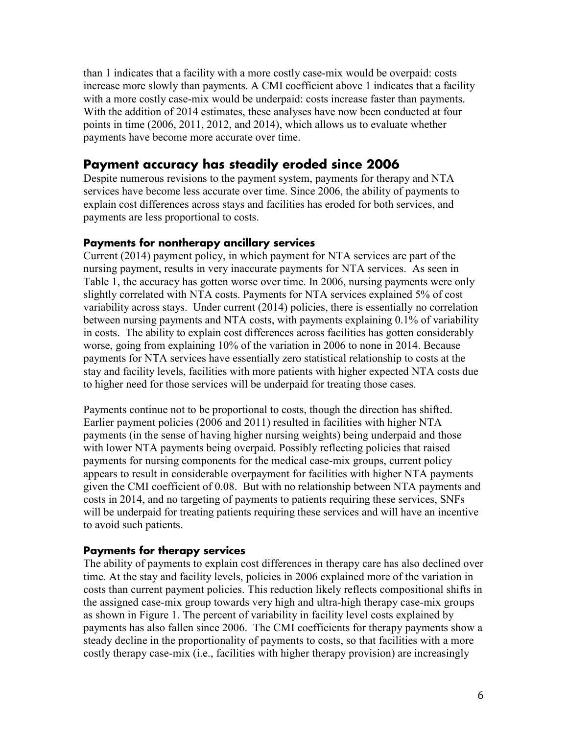than 1 indicates that a facility with a more costly case-mix would be overpaid: costs increase more slowly than payments. A CMI coefficient above 1 indicates that a facility with a more costly case-mix would be underpaid: costs increase faster than payments. With the addition of 2014 estimates, these analyses have now been conducted at four points in time (2006, 2011, 2012, and 2014), which allows us to evaluate whether payments have become more accurate over time.

# **Payment accuracy has steadily eroded since 2006**

Despite numerous revisions to the payment system, payments for therapy and NTA services have become less accurate over time. Since 2006, the ability of payments to explain cost differences across stays and facilities has eroded for both services, and payments are less proportional to costs.

#### **Payments for nontherapy ancillary services**

Current (2014) payment policy, in which payment for NTA services are part of the nursing payment, results in very inaccurate payments for NTA services. As seen in Table 1, the accuracy has gotten worse over time. In 2006, nursing payments were only slightly correlated with NTA costs. Payments for NTA services explained 5% of cost variability across stays. Under current (2014) policies, there is essentially no correlation between nursing payments and NTA costs, with payments explaining 0.1% of variability in costs. The ability to explain cost differences across facilities has gotten considerably worse, going from explaining 10% of the variation in 2006 to none in 2014. Because payments for NTA services have essentially zero statistical relationship to costs at the stay and facility levels, facilities with more patients with higher expected NTA costs due to higher need for those services will be underpaid for treating those cases.

Payments continue not to be proportional to costs, though the direction has shifted. Earlier payment policies (2006 and 2011) resulted in facilities with higher NTA payments (in the sense of having higher nursing weights) being underpaid and those with lower NTA payments being overpaid. Possibly reflecting policies that raised payments for nursing components for the medical case-mix groups, current policy appears to result in considerable overpayment for facilities with higher NTA payments given the CMI coefficient of 0.08. But with no relationship between NTA payments and costs in 2014, and no targeting of payments to patients requiring these services, SNFs will be underpaid for treating patients requiring these services and will have an incentive to avoid such patients.

#### **Payments for therapy services**

The ability of payments to explain cost differences in therapy care has also declined over time. At the stay and facility levels, policies in 2006 explained more of the variation in costs than current payment policies. This reduction likely reflects compositional shifts in the assigned case-mix group towards very high and ultra-high therapy case-mix groups as shown in Figure 1. The percent of variability in facility level costs explained by payments has also fallen since 2006. The CMI coefficients for therapy payments show a steady decline in the proportionality of payments to costs, so that facilities with a more costly therapy case-mix (i.e., facilities with higher therapy provision) are increasingly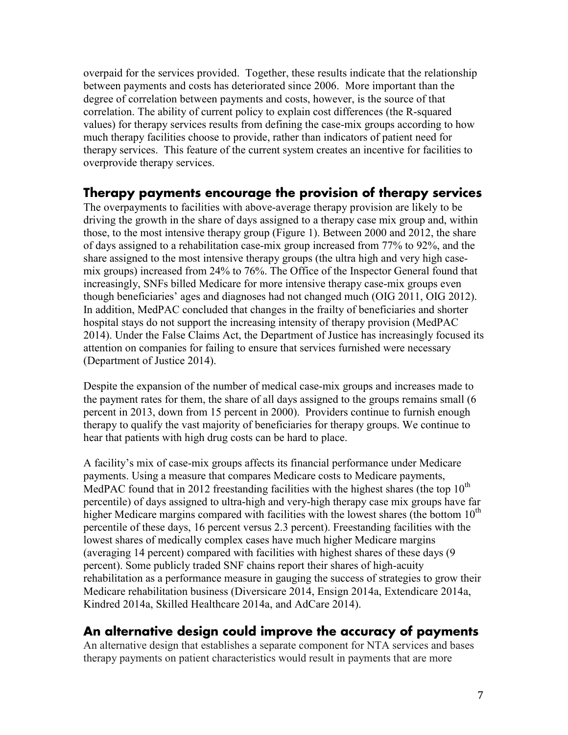overpaid for the services provided. Together, these results indicate that the relationship between payments and costs has deteriorated since 2006. More important than the degree of correlation between payments and costs, however, is the source of that correlation. The ability of current policy to explain cost differences (the R-squared values) for therapy services results from defining the case-mix groups according to how much therapy facilities choose to provide, rather than indicators of patient need for therapy services. This feature of the current system creates an incentive for facilities to overprovide therapy services.

## **Therapy payments encourage the provision of therapy services**

The overpayments to facilities with above-average therapy provision are likely to be driving the growth in the share of days assigned to a therapy case mix group and, within those, to the most intensive therapy group (Figure 1). Between 2000 and 2012, the share of days assigned to a rehabilitation case-mix group increased from 77% to 92%, and the share assigned to the most intensive therapy groups (the ultra high and very high casemix groups) increased from 24% to 76%. The Office of the Inspector General found that increasingly, SNFs billed Medicare for more intensive therapy case-mix groups even though beneficiaries' ages and diagnoses had not changed much (OIG 2011, OIG 2012). In addition, MedPAC concluded that changes in the frailty of beneficiaries and shorter hospital stays do not support the increasing intensity of therapy provision (MedPAC 2014). Under the False Claims Act, the Department of Justice has increasingly focused its attention on companies for failing to ensure that services furnished were necessary (Department of Justice 2014).

Despite the expansion of the number of medical case-mix groups and increases made to the payment rates for them, the share of all days assigned to the groups remains small (6 percent in 2013, down from 15 percent in 2000). Providers continue to furnish enough therapy to qualify the vast majority of beneficiaries for therapy groups. We continue to hear that patients with high drug costs can be hard to place.

A facility's mix of case-mix groups affects its financial performance under Medicare payments. Using a measure that compares Medicare costs to Medicare payments, MedPAC found that in 2012 freestanding facilities with the highest shares (the top  $10^{th}$ percentile) of days assigned to ultra-high and very-high therapy case mix groups have far higher Medicare margins compared with facilities with the lowest shares (the bottom  $10<sup>th</sup>$ percentile of these days, 16 percent versus 2.3 percent). Freestanding facilities with the lowest shares of medically complex cases have much higher Medicare margins (averaging 14 percent) compared with facilities with highest shares of these days (9 percent). Some publicly traded SNF chains report their shares of high-acuity rehabilitation as a performance measure in gauging the success of strategies to grow their Medicare rehabilitation business (Diversicare 2014, Ensign 2014a, Extendicare 2014a, Kindred 2014a, Skilled Healthcare 2014a, and AdCare 2014).

# **An alternative design could improve the accuracy of payments**

An alternative design that establishes a separate component for NTA services and bases therapy payments on patient characteristics would result in payments that are more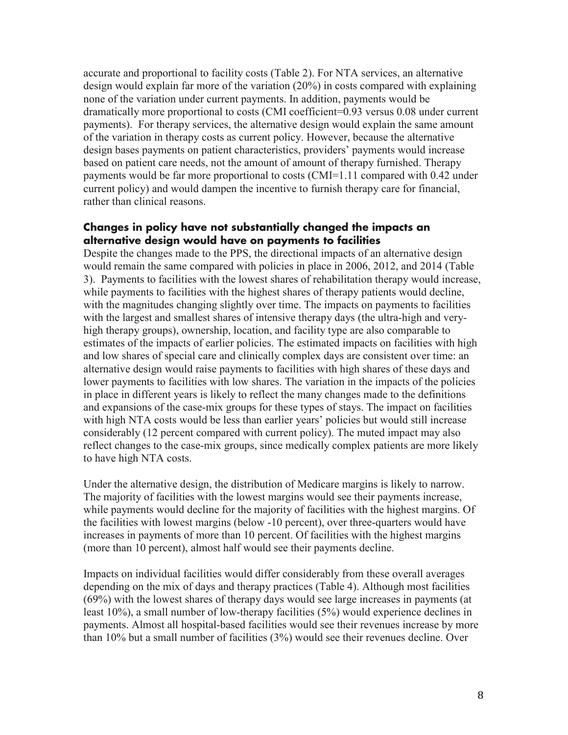accurate and proportional to facility costs (Table 2). For NTA services, an alternative design would explain far more of the variation (20%) in costs compared with explaining none of the variation under current payments. In addition, payments would be dramatically more proportional to costs (CMI coefficient=0.93 versus 0.08 under current payments). For therapy services, the alternative design would explain the same amount of the variation in therapy costs as current policy. However, because the alternative design bases payments on patient characteristics, providers' payments would increase based on patient care needs, not the amount of amount of therapy furnished. Therapy payments would be far more proportional to costs (CMI=1.11 compared with 0.42 under current policy) and would dampen the incentive to furnish therapy care for financial, rather than clinical reasons.

#### **Changes in policy have not substantially changed the impacts an alternative design would have on payments to facilities**

Despite the changes made to the PPS, the directional impacts of an alternative design would remain the same compared with policies in place in 2006, 2012, and 2014 (Table 3). Payments to facilities with the lowest shares of rehabilitation therapy would increase, while payments to facilities with the highest shares of therapy patients would decline, with the magnitudes changing slightly over time. The impacts on payments to facilities with the largest and smallest shares of intensive therapy days (the ultra-high and veryhigh therapy groups), ownership, location, and facility type are also comparable to estimates of the impacts of earlier policies. The estimated impacts on facilities with high and low shares of special care and clinically complex days are consistent over time: an alternative design would raise payments to facilities with high shares of these days and lower payments to facilities with low shares. The variation in the impacts of the policies in place in different years is likely to reflect the many changes made to the definitions and expansions of the case-mix groups for these types of stays. The impact on facilities with high NTA costs would be less than earlier years' policies but would still increase considerably (12 percent compared with current policy). The muted impact may also reflect changes to the case-mix groups, since medically complex patients are more likely to have high NTA costs.

Under the alternative design, the distribution of Medicare margins is likely to narrow. The majority of facilities with the lowest margins would see their payments increase, while payments would decline for the majority of facilities with the highest margins. Of the facilities with lowest margins (below -10 percent), over three-quarters would have increases in payments of more than 10 percent. Of facilities with the highest margins (more than 10 percent), almost half would see their payments decline.

Impacts on individual facilities would differ considerably from these overall averages depending on the mix of days and therapy practices (Table 4). Although most facilities (69%) with the lowest shares of therapy days would see large increases in payments (at least 10%), a small number of low-therapy facilities (5%) would experience declines in payments. Almost all hospital-based facilities would see their revenues increase by more than 10% but a small number of facilities (3%) would see their revenues decline. Over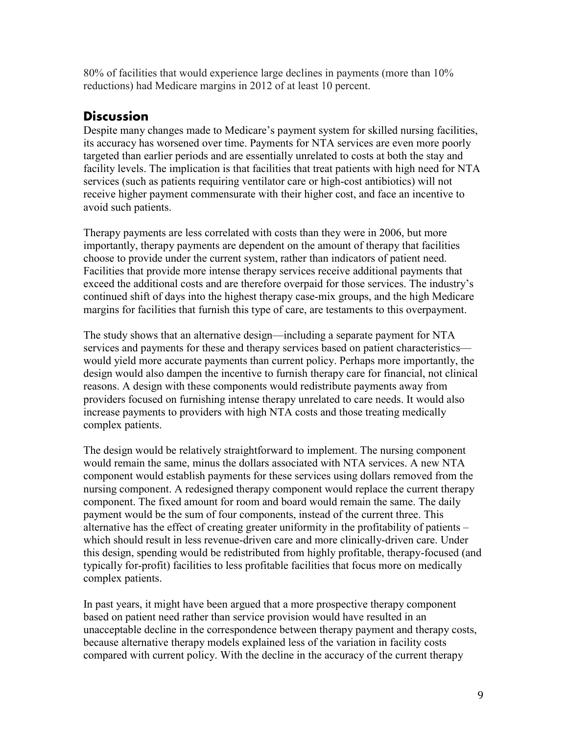80% of facilities that would experience large declines in payments (more than 10% reductions) had Medicare margins in 2012 of at least 10 percent.

# **Discussion**

Despite many changes made to Medicare's payment system for skilled nursing facilities, its accuracy has worsened over time. Payments for NTA services are even more poorly targeted than earlier periods and are essentially unrelated to costs at both the stay and facility levels. The implication is that facilities that treat patients with high need for NTA services (such as patients requiring ventilator care or high-cost antibiotics) will not receive higher payment commensurate with their higher cost, and face an incentive to avoid such patients.

Therapy payments are less correlated with costs than they were in 2006, but more importantly, therapy payments are dependent on the amount of therapy that facilities choose to provide under the current system, rather than indicators of patient need. Facilities that provide more intense therapy services receive additional payments that exceed the additional costs and are therefore overpaid for those services. The industry's continued shift of days into the highest therapy case-mix groups, and the high Medicare margins for facilities that furnish this type of care, are testaments to this overpayment.

The study shows that an alternative design—including a separate payment for NTA services and payments for these and therapy services based on patient characteristics would yield more accurate payments than current policy. Perhaps more importantly, the design would also dampen the incentive to furnish therapy care for financial, not clinical reasons. A design with these components would redistribute payments away from providers focused on furnishing intense therapy unrelated to care needs. It would also increase payments to providers with high NTA costs and those treating medically complex patients.

The design would be relatively straightforward to implement. The nursing component would remain the same, minus the dollars associated with NTA services. A new NTA component would establish payments for these services using dollars removed from the nursing component. A redesigned therapy component would replace the current therapy component. The fixed amount for room and board would remain the same. The daily payment would be the sum of four components, instead of the current three. This alternative has the effect of creating greater uniformity in the profitability of patients – which should result in less revenue-driven care and more clinically-driven care. Under this design, spending would be redistributed from highly profitable, therapy-focused (and typically for-profit) facilities to less profitable facilities that focus more on medically complex patients.

In past years, it might have been argued that a more prospective therapy component based on patient need rather than service provision would have resulted in an unacceptable decline in the correspondence between therapy payment and therapy costs, because alternative therapy models explained less of the variation in facility costs compared with current policy. With the decline in the accuracy of the current therapy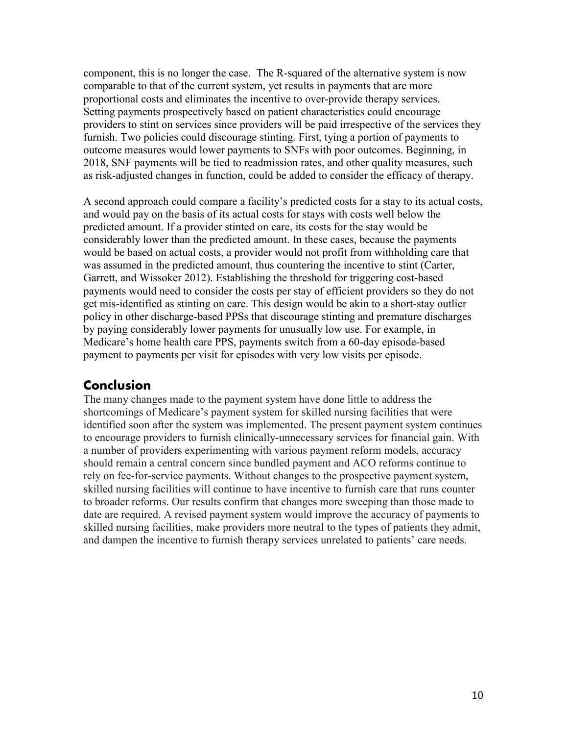component, this is no longer the case. The R-squared of the alternative system is now comparable to that of the current system, yet results in payments that are more proportional costs and eliminates the incentive to over-provide therapy services. Setting payments prospectively based on patient characteristics could encourage providers to stint on services since providers will be paid irrespective of the services they furnish. Two policies could discourage stinting. First, tying a portion of payments to outcome measures would lower payments to SNFs with poor outcomes. Beginning, in 2018, SNF payments will be tied to readmission rates, and other quality measures, such as risk-adjusted changes in function, could be added to consider the efficacy of therapy.

A second approach could compare a facility's predicted costs for a stay to its actual costs, and would pay on the basis of its actual costs for stays with costs well below the predicted amount. If a provider stinted on care, its costs for the stay would be considerably lower than the predicted amount. In these cases, because the payments would be based on actual costs, a provider would not profit from withholding care that was assumed in the predicted amount, thus countering the incentive to stint (Carter, Garrett, and Wissoker 2012). Establishing the threshold for triggering cost-based payments would need to consider the costs per stay of efficient providers so they do not get mis-identified as stinting on care. This design would be akin to a short-stay outlier policy in other discharge-based PPSs that discourage stinting and premature discharges by paying considerably lower payments for unusually low use. For example, in Medicare's home health care PPS, payments switch from a 60-day episode-based payment to payments per visit for episodes with very low visits per episode.

# **Conclusion**

The many changes made to the payment system have done little to address the shortcomings of Medicare's payment system for skilled nursing facilities that were identified soon after the system was implemented. The present payment system continues to encourage providers to furnish clinically-unnecessary services for financial gain. With a number of providers experimenting with various payment reform models, accuracy should remain a central concern since bundled payment and ACO reforms continue to rely on fee-for-service payments. Without changes to the prospective payment system, skilled nursing facilities will continue to have incentive to furnish care that runs counter to broader reforms. Our results confirm that changes more sweeping than those made to date are required. A revised payment system would improve the accuracy of payments to skilled nursing facilities, make providers more neutral to the types of patients they admit, and dampen the incentive to furnish therapy services unrelated to patients' care needs.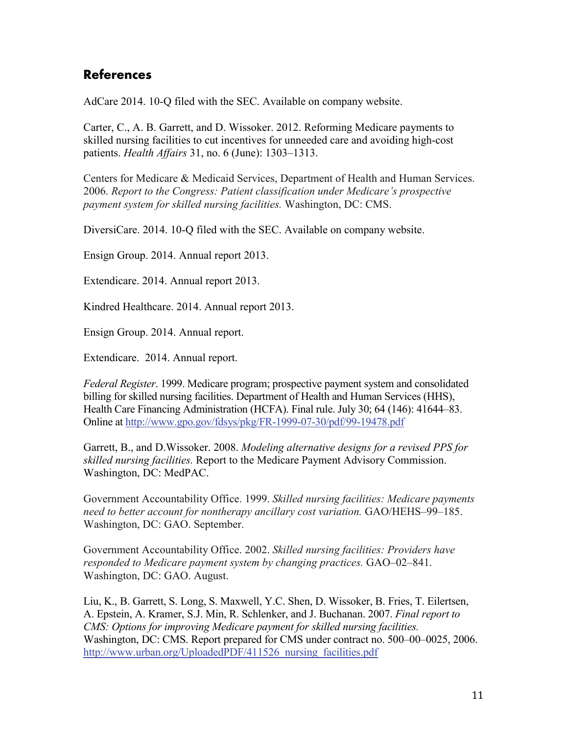# **References**

AdCare 2014. 10-Q filed with the SEC. Available on company website.

Carter, C., A. B. Garrett, and D. Wissoker. 2012. Reforming Medicare payments to skilled nursing facilities to cut incentives for unneeded care and avoiding high-cost patients. *Health Affairs* 31, no. 6 (June): 1303–1313.

Centers for Medicare & Medicaid Services, Department of Health and Human Services. 2006. *Report to the Congress: Patient classification under Medicare's prospective payment system for skilled nursing facilities.* Washington, DC: CMS.

DiversiCare. 2014. 10-Q filed with the SEC. Available on company website.

Ensign Group. 2014. Annual report 2013.

Extendicare. 2014. Annual report 2013.

Kindred Healthcare. 2014. Annual report 2013.

Ensign Group. 2014. Annual report.

Extendicare. 2014. Annual report.

*Federal Register*. 1999. Medicare program; prospective payment system and consolidated billing for skilled nursing facilities. Department of Health and Human Services (HHS), Health Care Financing Administration (HCFA). Final rule. July 30; 64 (146): 41644–83. Online at http://www.gpo.gov/fdsys/pkg/FR-1999-07-30/pdf/99-19478.pdf

Garrett, B., and D.Wissoker. 2008. *Modeling alternative designs for a revised PPS for skilled nursing facilities.* Report to the Medicare Payment Advisory Commission. Washington, DC: MedPAC.

Government Accountability Office. 1999. *Skilled nursing facilities: Medicare payments need to better account for nontherapy ancillary cost variation.* GAO/HEHS–99–185. Washington, DC: GAO. September.

Government Accountability Office. 2002. *Skilled nursing facilities: Providers have responded to Medicare payment system by changing practices.* GAO–02–841. Washington, DC: GAO. August.

Liu, K., B. Garrett, S. Long, S. Maxwell, Y.C. Shen, D. Wissoker, B. Fries, T. Eilertsen, A. Epstein, A. Kramer, S.J. Min, R. Schlenker, and J. Buchanan. 2007. *Final report to CMS: Options for improving Medicare payment for skilled nursing facilities.*  Washington, DC: CMS. Report prepared for CMS under contract no. 500–00–0025, 2006. http://www.urban.org/UploadedPDF/411526 nursing facilities.pdf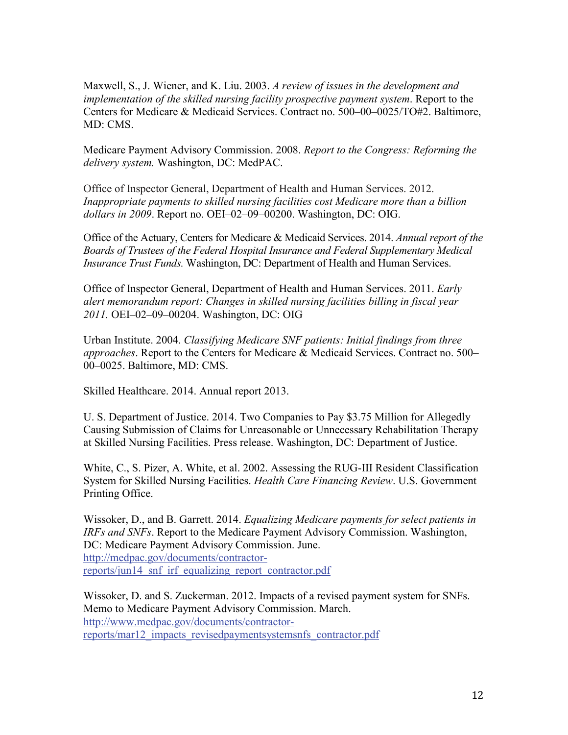Maxwell, S., J. Wiener, and K. Liu. 2003. *A review of issues in the development and implementation of the skilled nursing facility prospective payment system*. Report to the Centers for Medicare & Medicaid Services. Contract no. 500–00–0025/TO#2. Baltimore, MD: CMS.

Medicare Payment Advisory Commission. 2008. *Report to the Congress: Reforming the delivery system.* Washington, DC: MedPAC.

Office of Inspector General, Department of Health and Human Services. 2012. *Inappropriate payments to skilled nursing facilities cost Medicare more than a billion dollars in 2009*. Report no. OEI–02–09–00200. Washington, DC: OIG.

Office of the Actuary, Centers for Medicare & Medicaid Services. 2014. *Annual report of the Boards of Trustees of the Federal Hospital Insurance and Federal Supplementary Medical Insurance Trust Funds.* Washington, DC: Department of Health and Human Services.

Office of Inspector General, Department of Health and Human Services. 2011. *Early alert memorandum report: Changes in skilled nursing facilities billing in fiscal year 2011.* OEI–02–09–00204. Washington, DC: OIG

Urban Institute. 2004. *Classifying Medicare SNF patients: Initial findings from three approaches*. Report to the Centers for Medicare & Medicaid Services. Contract no. 500– 00–0025. Baltimore, MD: CMS.

Skilled Healthcare. 2014. Annual report 2013.

U. S. Department of Justice. 2014. Two Companies to Pay \$3.75 Million for Allegedly Causing Submission of Claims for Unreasonable or Unnecessary Rehabilitation Therapy at Skilled Nursing Facilities. Press release. Washington, DC: Department of Justice.

White, C., S. Pizer, A. White, et al. 2002. Assessing the RUG-III Resident Classification System for Skilled Nursing Facilities. *Health Care Financing Review*. U.S. Government Printing Office.

Wissoker, D., and B. Garrett. 2014. *Equalizing Medicare payments for select patients in IRFs and SNFs*. Report to the Medicare Payment Advisory Commission. Washington, DC: Medicare Payment Advisory Commission. June. http://medpac.gov/documents/contractorreports/jun14\_snf\_irf\_equalizing\_report\_contractor.pdf

Wissoker, D. and S. Zuckerman. 2012. Impacts of a revised payment system for SNFs. Memo to Medicare Payment Advisory Commission. March. http://www.medpac.gov/documents/contractorreports/mar12\_impacts\_revisedpaymentsystemsnfs\_contractor.pdf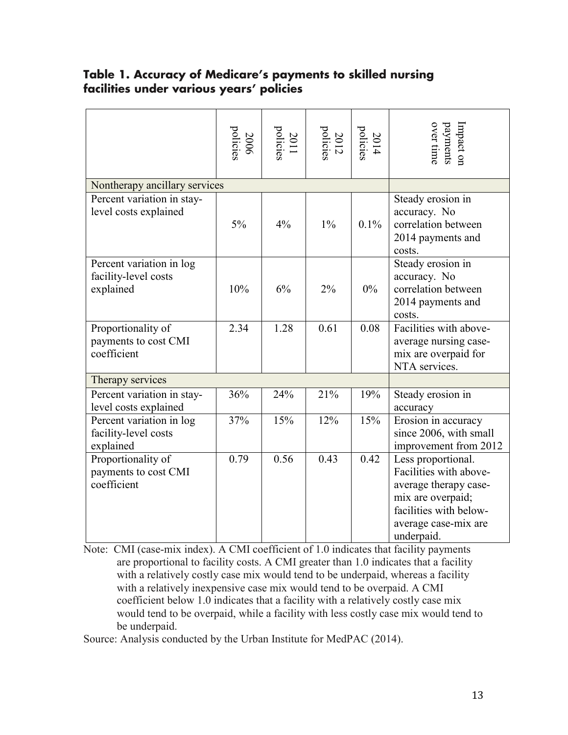## **Table 1. Accuracy of Medicare's payments to skilled nursing facilities under various years' policies**

|                                                                                                                                                                                                                                                                                                                                                                                                                                                                                                                                                                                                                   | 2006<br>policies | 2011<br>policies | $2012$<br>policies | $2014$<br>policies | Impact on<br>payments<br>over time                                                                                                                         |
|-------------------------------------------------------------------------------------------------------------------------------------------------------------------------------------------------------------------------------------------------------------------------------------------------------------------------------------------------------------------------------------------------------------------------------------------------------------------------------------------------------------------------------------------------------------------------------------------------------------------|------------------|------------------|--------------------|--------------------|------------------------------------------------------------------------------------------------------------------------------------------------------------|
| Nontherapy ancillary services                                                                                                                                                                                                                                                                                                                                                                                                                                                                                                                                                                                     |                  |                  |                    |                    |                                                                                                                                                            |
| Percent variation in stay-<br>level costs explained                                                                                                                                                                                                                                                                                                                                                                                                                                                                                                                                                               | $5\%$            | 4%               | $1\%$              | 0.1%               | Steady erosion in<br>accuracy. No<br>correlation between<br>2014 payments and<br>costs.                                                                    |
| Percent variation in log<br>facility-level costs<br>explained                                                                                                                                                                                                                                                                                                                                                                                                                                                                                                                                                     | 10%              | 6%               | 2%                 | $0\%$              | Steady erosion in<br>accuracy. No<br>correlation between<br>2014 payments and<br>costs.                                                                    |
| Proportionality of<br>payments to cost CMI<br>coefficient                                                                                                                                                                                                                                                                                                                                                                                                                                                                                                                                                         | 2.34             | 1.28             | 0.61               | 0.08               | Facilities with above-<br>average nursing case-<br>mix are overpaid for<br>NTA services.                                                                   |
| Therapy services                                                                                                                                                                                                                                                                                                                                                                                                                                                                                                                                                                                                  |                  |                  |                    |                    |                                                                                                                                                            |
| Percent variation in stay-<br>level costs explained                                                                                                                                                                                                                                                                                                                                                                                                                                                                                                                                                               | 36%              | 24%              | 21%                | 19%                | Steady erosion in<br>accuracy                                                                                                                              |
| Percent variation in log<br>facility-level costs<br>explained                                                                                                                                                                                                                                                                                                                                                                                                                                                                                                                                                     | 37%              | 15%              | 12%                | 15%                | Erosion in accuracy<br>since 2006, with small<br>improvement from 2012                                                                                     |
| Proportionality of<br>payments to cost CMI<br>coefficient                                                                                                                                                                                                                                                                                                                                                                                                                                                                                                                                                         | 0.79             | 0.56             | 0.43               | 0.42               | Less proportional.<br>Facilities with above-<br>average therapy case-<br>mix are overpaid;<br>facilities with below-<br>average case-mix are<br>underpaid. |
| Note: CMI (case-mix index). A CMI coefficient of 1.0 indicates that facility payments<br>are proportional to facility costs. A CMI greater than 1.0 indicates that a facility<br>with a relatively costly case mix would tend to be underpaid, whereas a facility<br>with a relatively inexpensive case mix would tend to be overpaid. A CMI<br>coefficient below 1.0 indicates that a facility with a relatively costly case mix<br>would tend to be overpaid, while a facility with less costly case mix would tend to<br>be underpaid.<br>Source: Analysis conducted by the Urban Institute for MedPAC (2014). |                  |                  |                    |                    |                                                                                                                                                            |
|                                                                                                                                                                                                                                                                                                                                                                                                                                                                                                                                                                                                                   |                  |                  |                    |                    |                                                                                                                                                            |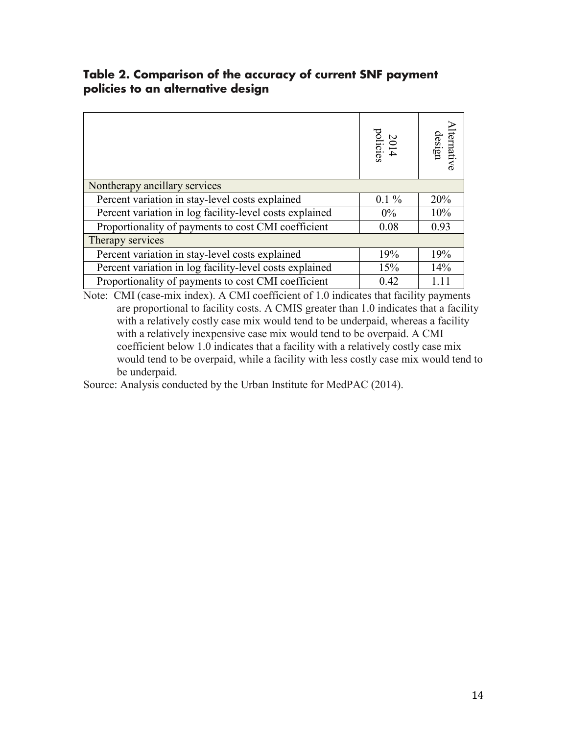## **Table 2. Comparison of the accuracy of current SNF payment policies to an alternative design**

|                                                         | 2014<br>policies | lternative<br>design |
|---------------------------------------------------------|------------------|----------------------|
| Nontherapy ancillary services                           |                  |                      |
| Percent variation in stay-level costs explained         | $0.1\%$          | 20%                  |
| Percent variation in log facility-level costs explained | $0\%$            | 10%                  |
| Proportionality of payments to cost CMI coefficient     | 0.08             | 0.93                 |
| Therapy services                                        |                  |                      |
| Percent variation in stay-level costs explained         | 19%              | 19%                  |
| Percent variation in log facility-level costs explained | 15%              | 14%                  |
| Proportionality of payments to cost CMI coefficient     | 0.42             |                      |

Note: CMI (case-mix index). A CMI coefficient of 1.0 indicates that facility payments are proportional to facility costs. A CMIS greater than 1.0 indicates that a facility with a relatively costly case mix would tend to be underpaid, whereas a facility with a relatively inexpensive case mix would tend to be overpaid. A CMI coefficient below 1.0 indicates that a facility with a relatively costly case mix would tend to be overpaid, while a facility with less costly case mix would tend to be underpaid.

Source: Analysis conducted by the Urban Institute for MedPAC (2014).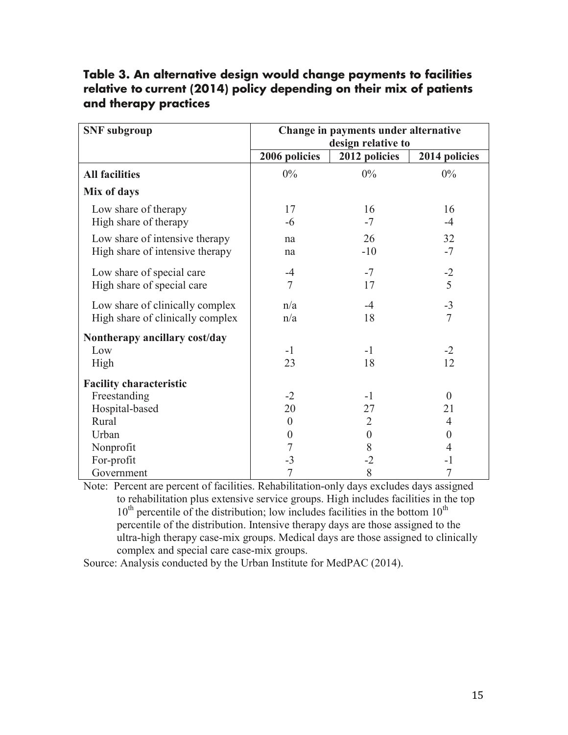## **Table 3. An alternative design would change payments to facilities relative to current (2014) policy depending on their mix of patients and therapy practices**

| <b>SNF</b> subgroup                                                       | Change in payments under alternative<br>design relative to |                              |                        |  |
|---------------------------------------------------------------------------|------------------------------------------------------------|------------------------------|------------------------|--|
|                                                                           | 2006 policies                                              | 2012 policies                | 2014 policies          |  |
| <b>All facilities</b>                                                     | $0\%$                                                      | $0\%$                        | $0\%$                  |  |
| Mix of days                                                               |                                                            |                              |                        |  |
| Low share of therapy<br>High share of therapy                             | 17<br>$-6$                                                 | 16<br>$-7$                   | 16<br>$-4$             |  |
| Low share of intensive therapy<br>High share of intensive therapy         | na<br>na                                                   | 26<br>$-10$                  | 32<br>$-7$             |  |
| Low share of special care<br>High share of special care                   | $-4$<br>$\overline{7}$                                     | $-7$<br>17                   | $-2$<br>5              |  |
| Low share of clinically complex<br>High share of clinically complex       | n/a<br>n/a                                                 | $-4$<br>18                   | $-3$<br>$\overline{7}$ |  |
| Nontherapy ancillary cost/day<br>Low<br>High                              | $-1$<br>23                                                 | $-1$<br>18                   | $-2$<br>12             |  |
| <b>Facility characteristic</b><br>Freestanding<br>Hospital-based<br>Rural | $-2$<br>20<br>$\theta$                                     | $-1$<br>27<br>$\overline{2}$ | $\theta$<br>21<br>4    |  |
| Urban                                                                     | $\theta$                                                   | $\theta$                     | $\Omega$               |  |
| Nonprofit<br>For-profit<br>Government                                     | 7<br>$-3$<br>7                                             | 8<br>$-2$<br>8               | 4<br>-1<br>7           |  |

Note: Percent are percent of facilities. Rehabilitation-only days excludes days assigned to rehabilitation plus extensive service groups. High includes facilities in the top  $10<sup>th</sup>$  percentile of the distribution; low includes facilities in the bottom  $10<sup>th</sup>$ percentile of the distribution. Intensive therapy days are those assigned to the ultra-high therapy case-mix groups. Medical days are those assigned to clinically complex and special care case-mix groups.

Source: Analysis conducted by the Urban Institute for MedPAC (2014).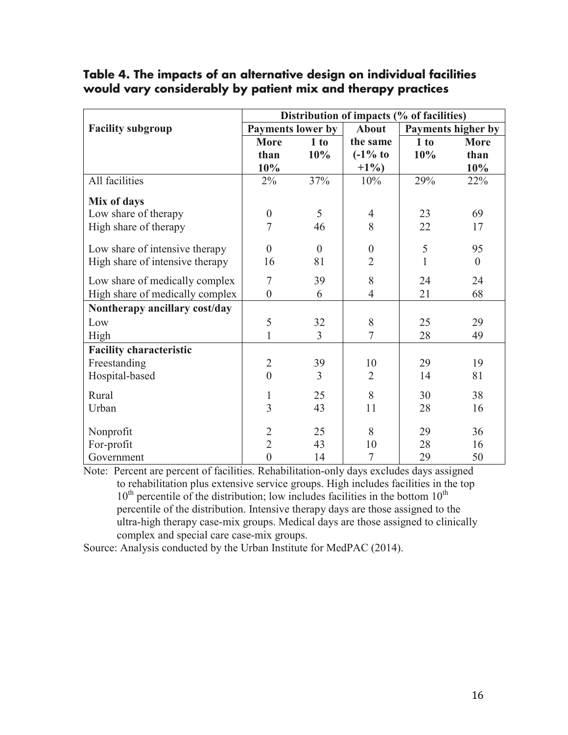|                                 | Distribution of impacts (% of facilities) |          |                     |                    |          |  |
|---------------------------------|-------------------------------------------|----------|---------------------|--------------------|----------|--|
| <b>Facility subgroup</b>        | <b>Payments lower by</b>                  |          | <b>About</b>        | Payments higher by |          |  |
|                                 | <b>More</b>                               | 1 to     | the same            | 1 to               | More     |  |
|                                 | than                                      | 10%      | $(-1\% \text{ to }$ | 10%                | than     |  |
|                                 | 10%                                       |          | $+1\%$              |                    | 10%      |  |
| All facilities                  | $2\%$                                     | 37%      | 10%                 | 29%                | 22%      |  |
| Mix of days                     |                                           |          |                     |                    |          |  |
| Low share of therapy            | $\boldsymbol{0}$                          | 5        | $\overline{4}$      | 23                 | 69       |  |
| High share of therapy           | 7                                         | 46       | 8                   | 22                 | 17       |  |
| Low share of intensive therapy  | $\theta$                                  | $\theta$ | $\theta$            | 5                  | 95       |  |
| High share of intensive therapy | 16                                        | 81       | $\overline{2}$      | $\mathbf{1}$       | $\theta$ |  |
| Low share of medically complex  | $\overline{7}$                            | 39       | 8                   | 24                 | 24       |  |
| High share of medically complex | $\boldsymbol{0}$                          | 6        | $\overline{4}$      | 21                 | 68       |  |
| Nontherapy ancillary cost/day   |                                           |          |                     |                    |          |  |
| Low                             | 5                                         | 32       | 8                   | 25                 | 29       |  |
| High                            | $\mathbf{1}$                              | 3        | $\overline{7}$      | 28                 | 49       |  |
| <b>Facility characteristic</b>  |                                           |          |                     |                    |          |  |
| Freestanding                    | $\overline{2}$                            | 39       | 10                  | 29                 | 19       |  |
| Hospital-based                  | $\overline{0}$                            | 3        | $\overline{2}$      | 14                 | 81       |  |
| Rural                           | $\mathbf{1}$                              | 25       | 8                   | 30                 | 38       |  |
| Urban                           | $\overline{3}$                            | 43       | 11                  | 28                 | 16       |  |
| Nonprofit                       | $\overline{2}$                            | 25       | 8                   | 29                 | 36       |  |
| For-profit                      | $\overline{2}$                            | 43       | 10                  | 28                 | 16       |  |
| Government                      | $\overline{0}$                            | 14       | $\overline{7}$      | 29                 | 50       |  |

## **Table 4. The impacts of an alternative design on individual facilities would vary considerably by patient mix and therapy practices**

Note: Percent are percent of facilities. Rehabilitation-only days excludes days assigned to rehabilitation plus extensive service groups. High includes facilities in the top  $10<sup>th</sup>$  percentile of the distribution; low includes facilities in the bottom  $10<sup>th</sup>$ percentile of the distribution. Intensive therapy days are those assigned to the ultra-high therapy case-mix groups. Medical days are those assigned to clinically complex and special care case-mix groups.

Source: Analysis conducted by the Urban Institute for MedPAC (2014).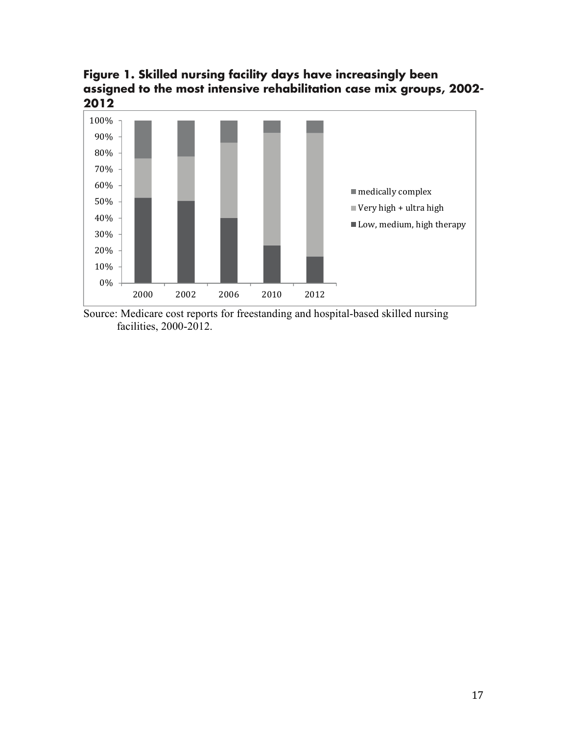**Figure 1. Skilled nursing facility days have increasingly been assigned to the most intensive rehabilitation case mix groups, 2002- 2012** 



Source: Medicare cost reports for freestanding and hospital-based skilled nursing facilities, 2000-2012.